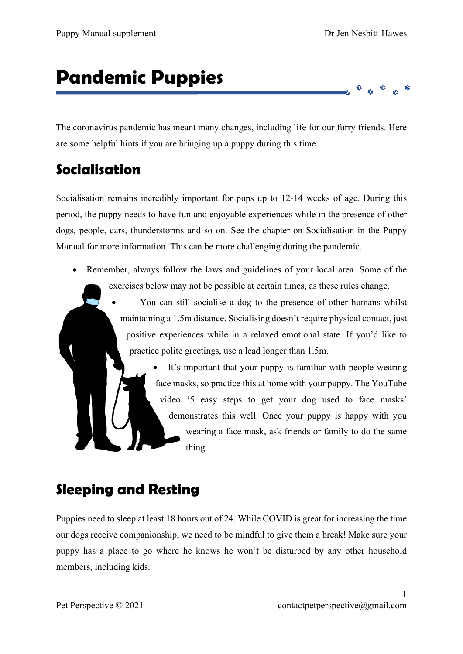$\mathbf{y}_i^*$ 

# **Pandemic Puppies**

The coronavirus pandemic has meant many changes, including life for our furry friends. Here are some helpful hints if you are bringing up a puppy during this time.

### **Socialisation**

Socialisation remains incredibly important for pups up to 12-14 weeks of age. During this period, the puppy needs to have fun and enjoyable experiences while in the presence of other dogs, people, cars, thunderstorms and so on. See the chapter on Socialisation in the Puppy Manual for more information. This can be more challenging during the pandemic.

• Remember, always follow the laws and guidelines of your local area. Some of the exercises below may not be possible at certain times, as these rules change.

> • You can still socialise a dog to the presence of other humans whilst maintaining a 1.5m distance. Socialising doesn't require physical contact, just positive experiences while in a relaxed emotional state. If you'd like to practice polite greetings, use a lead longer than 1.5m.

> > It's important that your puppy is familiar with people wearing face masks, so practice this at home with your puppy. The YouTube video '5 easy steps to get your dog used to face masks' demonstrates this well. Once your puppy is happy with you wearing a face mask, ask friends or family to do the same thing.

### **Sleeping and Resting**

Puppies need to sleep at least 18 hours out of 24. While COVID is great for increasing the time our dogs receive companionship, we need to be mindful to give them a break! Make sure your puppy has a place to go where he knows he won't be disturbed by any other household members, including kids.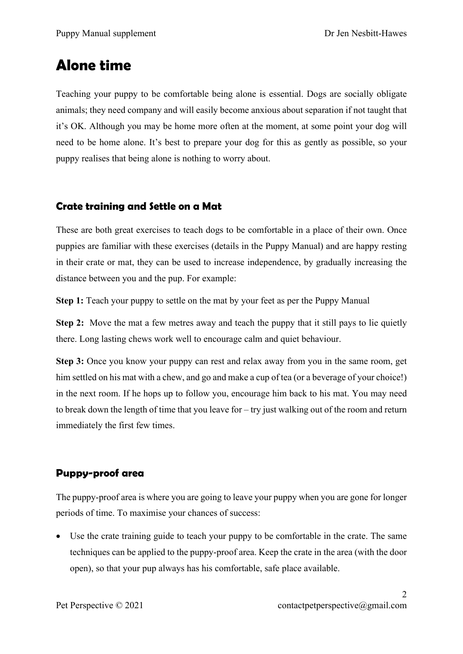### **Alone time**

Teaching your puppy to be comfortable being alone is essential. Dogs are socially obligate animals; they need company and will easily become anxious about separation if not taught that it's OK. Although you may be home more often at the moment, at some point your dog will need to be home alone. It's best to prepare your dog for this as gently as possible, so your puppy realises that being alone is nothing to worry about.

#### **Crate training and Settle on a Mat**

These are both great exercises to teach dogs to be comfortable in a place of their own. Once puppies are familiar with these exercises (details in the Puppy Manual) and are happy resting in their crate or mat, they can be used to increase independence, by gradually increasing the distance between you and the pup. For example:

**Step 1:** Teach your puppy to settle on the mat by your feet as per the Puppy Manual

**Step 2:** Move the mat a few metres away and teach the puppy that it still pays to lie quietly there. Long lasting chews work well to encourage calm and quiet behaviour.

**Step 3:** Once you know your puppy can rest and relax away from you in the same room, get him settled on his mat with a chew, and go and make a cup of tea (or a beverage of your choice!) in the next room. If he hops up to follow you, encourage him back to his mat. You may need to break down the length of time that you leave for – try just walking out of the room and return immediately the first few times.

#### **Puppy-proof area**

The puppy-proof area is where you are going to leave your puppy when you are gone for longer periods of time. To maximise your chances of success:

• Use the crate training guide to teach your puppy to be comfortable in the crate. The same techniques can be applied to the puppy-proof area. Keep the crate in the area (with the door open), so that your pup always has his comfortable, safe place available.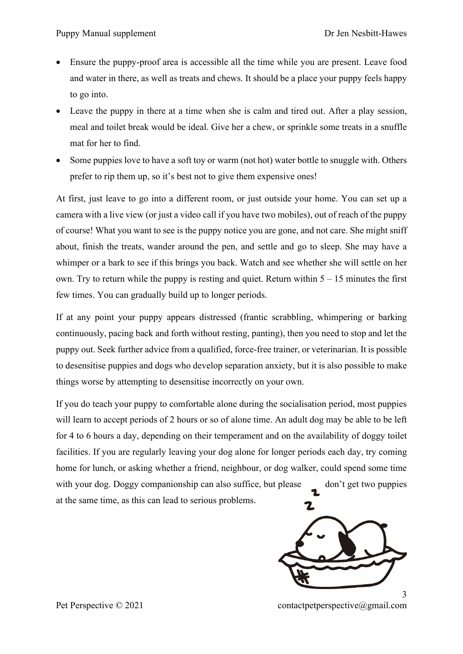- Ensure the puppy-proof area is accessible all the time while you are present. Leave food and water in there, as well as treats and chews. It should be a place your puppy feels happy to go into.
- Leave the puppy in there at a time when she is calm and tired out. After a play session, meal and toilet break would be ideal. Give her a chew, or sprinkle some treats in a snuffle mat for her to find.
- Some puppies love to have a soft toy or warm (not hot) water bottle to snuggle with. Others prefer to rip them up, so it's best not to give them expensive ones!

At first, just leave to go into a different room, or just outside your home. You can set up a camera with a live view (or just a video call if you have two mobiles), out of reach of the puppy of course! What you want to see is the puppy notice you are gone, and not care. She might sniff about, finish the treats, wander around the pen, and settle and go to sleep. She may have a whimper or a bark to see if this brings you back. Watch and see whether she will settle on her own. Try to return while the puppy is resting and quiet. Return within  $5 - 15$  minutes the first few times. You can gradually build up to longer periods.

If at any point your puppy appears distressed (frantic scrabbling, whimpering or barking continuously, pacing back and forth without resting, panting), then you need to stop and let the puppy out. Seek further advice from a qualified, force-free trainer, or veterinarian. It is possible to desensitise puppies and dogs who develop separation anxiety, but it is also possible to make things worse by attempting to desensitise incorrectly on your own.

If you do teach your puppy to comfortable alone during the socialisation period, most puppies will learn to accept periods of 2 hours or so of alone time. An adult dog may be able to be left for 4 to 6 hours a day, depending on their temperament and on the availability of doggy toilet facilities. If you are regularly leaving your dog alone for longer periods each day, try coming home for lunch, or asking whether a friend, neighbour, or dog walker, could spend some time with your dog. Doggy companionship can also suffice, but please don't get two puppies at the same time, as this can lead to serious problems.2



Pet Perspective © 2021 contactpetperspective@gmail.com